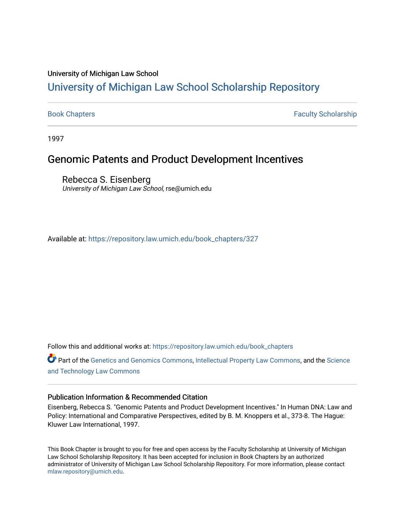### University of Michigan Law School

# [University of Michigan Law School Scholarship Repository](https://repository.law.umich.edu/)

[Book Chapters](https://repository.law.umich.edu/book_chapters) Faculty Scholarship

1997

## Genomic Patents and Product Development Incentives

Rebecca S. Eisenberg University of Michigan Law School, rse@umich.edu

Available at: [https://repository.law.umich.edu/book\\_chapters/327](https://repository.law.umich.edu/book_chapters/327) 

Follow this and additional works at: [https://repository.law.umich.edu/book\\_chapters](https://repository.law.umich.edu/book_chapters?utm_source=repository.law.umich.edu%2Fbook_chapters%2F327&utm_medium=PDF&utm_campaign=PDFCoverPages)

Part of the [Genetics and Genomics Commons](http://network.bepress.com/hgg/discipline/27?utm_source=repository.law.umich.edu%2Fbook_chapters%2F327&utm_medium=PDF&utm_campaign=PDFCoverPages), [Intellectual Property Law Commons](http://network.bepress.com/hgg/discipline/896?utm_source=repository.law.umich.edu%2Fbook_chapters%2F327&utm_medium=PDF&utm_campaign=PDFCoverPages), and the [Science](http://network.bepress.com/hgg/discipline/875?utm_source=repository.law.umich.edu%2Fbook_chapters%2F327&utm_medium=PDF&utm_campaign=PDFCoverPages) [and Technology Law Commons](http://network.bepress.com/hgg/discipline/875?utm_source=repository.law.umich.edu%2Fbook_chapters%2F327&utm_medium=PDF&utm_campaign=PDFCoverPages) 

## Publication Information & Recommended Citation

Eisenberg, Rebecca S. "Genomic Patents and Product Development Incentives." In Human DNA: Law and Policy: International and Comparative Perspectives, edited by B. M. Knoppers et al., 373-8. The Hague: Kluwer Law International, 1997.

This Book Chapter is brought to you for free and open access by the Faculty Scholarship at University of Michigan Law School Scholarship Repository. It has been accepted for inclusion in Book Chapters by an authorized administrator of University of Michigan Law School Scholarship Repository. For more information, please contact [mlaw.repository@umich.edu.](mailto:mlaw.repository@umich.edu)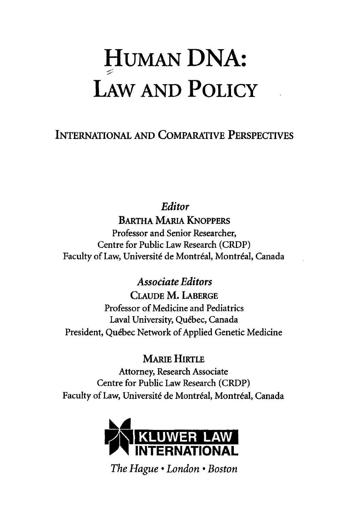# **HUMAN** DNA: LAW **AND POLICY**

INTERNATIONAL AND COMPARATIVE PERSPECTIVES

*Editor* 

**BARTHA MARIA KNOPPERS** Professor and Senior Researcher, Centre for Public Law Research (CRDP) Faculty of Law, Université de Montréal, Montréal, Canada

> *Associate Editors*  CLAUDE M. LABERGE

Professor of Medicine and Pediatrics Laval University, Quebec, Canada President, Quebec Network of Applied Genetic Medicine

MARIE HIRTLE

Attorney, Research Associate Centre for Public Law Research (CRDP) Faculty of Law, Université de Montréal, Montréal, Canada



*The Hague* • *London* • *Boston*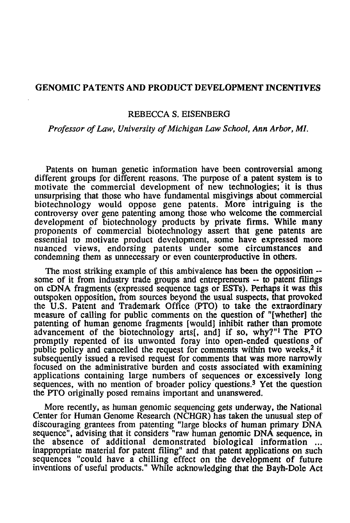#### **GENOMIC PATENTS AND PRODUCT DEVELOPMENT INCENTIVES**

#### REBECCA S. EISENBERG

#### *Professor of Law, University of Michigan Law School, Ann Arbor,* Ml.

Patents on human genetic information have been controversial among different groups for different reasons. The purpose of a patent system is to motivate the commercial development of new technologies; it is thus unsurprising that those who have fundamental misgivings about commercial biotechnology would oppose gene patents. More intriguing is the controversy over gene patenting among those who welcome the commercial development of biotechnology products by private firms. While many proponents of commercial biotechnology assert that gene patents are essential to motivate product development, some have expressed more nuanced views, endorsing patents under some circumstances and condemning them as unnecessary or even counterproductive in others.

The most striking example of this ambivalence has been the opposition -- some of it from industry trade groups and entrepreneurs -- to patent filings on cDNA fragments (exprensed sequence tags or ESTs). Perhaps it was this outspoken opposition, from sources beyond the usual suspects, that provoked the U.S. Patent and Trademark Office (PTO) to take the extraordinary measure of calling for public comments on the question of "[whether] the patenting of human genome fragments [would] inhibit rather than promote advancement of the biotechnology arts[, and] if so, why?"<sup>1</sup> The PTO promptly repented of its unwonted foray into open-ended questions of public policy and cancelled the request for comments within two weeks,<sup>2</sup> it subsequently issued a revised request for comments that was more narrowly focused on the administrative burden and costs associated with examining applications containing large numbers of sequences or excessively long sequences, with no mention of broader policy questions.<sup>3</sup> Yet the question the PTO originally posed remains important and unanswered.

More recently, as human genomic sequencing gets underway, the National Center for Human Genome Research (NCHGR) has taken the unusual step of discouraging grantees from patenting "large blocks of human primary DNA sequence", advising that it considers "raw human genomic DNA sequence, in the absence of additional demonstrated biological information ... inappropriate material for patent filing" and that patent applications on such sequences "could have a chilling effect on the development of future inventions of useful products." While acknowledging that the Bayh-Dole Act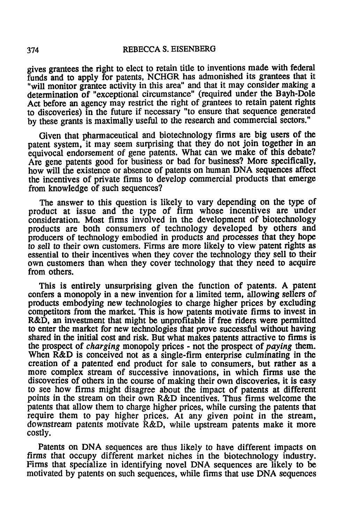gives grantees the right to elect to retain title to inventions made with federal funds and to apply for patents, NCHGR has admonished its grantees that it "will monitor grantee activity in this area" and that it may consider making a detennination of "exceptional circumstance" (required under the Bayh-Dole Act before an agency may restrict the right of grantees to retain patent rights to discoveries) in the future if necessary "to ensure that sequence generated by these grants is maximally useful to the research and commercial sectors."

Given that pharmaceutical and biotechnology firms are big users of the patent system, it may seem surprising that they do not join together in an equivocal endorsement of gene patents. What can we make of this debate? Are gene patents good for business or bad for business? More specifically, how will the existence or absence of patents on human DNA sequences affect the incentives of private firms to develop commercial products that emerge from knowledge of such sequences?

The answer to this question is likely to vary depending on the type of product at issue and the type of firm whose incentives are under consideration. Most firms involved in the development of biotechnology products are both consumers of technology developed by others and producers of technology embodied in products and processes that they hope to sell to their own customers. Firms are more likely to view patent rights as essential to their incentives when they cover the technology they sell to their own customers than when they cover technology that they need to acquire from others.

This is entirely unsurprising given the function of patents. A patent confers a monopoly in a new invention for a limited tenn, allowing sellers of products embodying new technologies to charge higher prices by excluding competitors from the market. This is how patents motivate firms to invest in R&D, an investment that might be unprofitable if free riders were permitted to enter the market for new technologies that prove successful without having shared in the initial cost and risk. But what makes patents attractive to finns is the prospect of *charging* monopoly prices - not the prospect of *paying* them. When R&D is conceived not as a single-firm enterprise culminating in the creation of a patented end product for sale to consumers, but rather as a more complex stream of successive innovations, in which firms use the discoveries of others in the course of making their own discoveries, it is easy to see how firms might disagree about the impact of patents at different points in the stream on their own R&D incentives. Thus firms welcome the patents that allow them to charge higher prices, while cursing the patents that require them to pay higher prices. At any given point in the stream, downstream patents motivate R&D, while upstream patents make it more costly.

Patents on DNA sequences are thus likely to have different impacts on firms that occupy different market niches in the biotechnology industry. Finns that specialize in identifying novel DNA sequences are likely to be motivated by patents on such sequences, while firms that use DNA sequences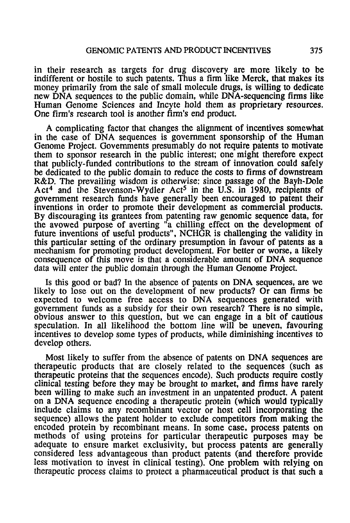in their research as targets for drug discovery are more likely to be indifferent or hostile to such patents. Thus a finn like Merck, that makes its money primarily from the sale of small molecule drugs, is willing to dedicate new DNA sequences to the public domain, while DNA-sequencing firms like Human Genome Sciences and Incyte hold them as proprietary resources. One finn's research tool is another firm's end product.

A complicating factor that changes the alignment of incentives somewhat in the case of DNA sequences is government sponsorship of the Human Genome Project. Governments presumably do not require patents to motivate them to sponsor research in the public interest; one might therefore expect that publicly-funded contributions to the stream of innovation could safely be dedicated to the public domain to reduce the costs to firms of downstream R&D. The prevailing wisdom is otherwise: since passage of the Bayh-Dole Act<sup>4</sup> and the Stevenson-Wydler Act<sup>5</sup> in the U.S. in 1980, recipients of government research funds have generally been encouraged to patent their inventions in order to promote their development as commercial products. By discouraging its grantees from patenting raw genomic sequence data, for the avowed purpose of averting "a chilling effect on the development of future inventions of useful products", NCHGR is challenging the validity in this particular setting of the ordinary presumption in favour of patents as a mechanism for promoting product development. For better or worse, a likely consequence of this move is that a considerable amount of DNA sequence data will enter the public domain through the Human Genome Project.

Is this good or bad? In the absence of patents on DNA sequences, are we likely to lose out on the development of new products? Or can finns be expected to welcome free access to DNA sequences generated with government funds as a subsidy for their own research? There is no simple, obvious answer to this question, but we can engage in a bit of cautious speculation. In all likelihood the bottom line will be uneven, favouring incentives to develop some types of products, while diminishing incentives to develop others.

Most likely to suffer from the absence of patents on DNA sequences are therapeutic products that are closely related to the sequences (such as therapeutic proteins that the sequences encode). Such products require costly clinical testing before they may be brought to market, and finns have rarely been willing to make such an investment in an unpatented product. A patent on a DNA sequence encoding a therapeutic protein (which would typically include claims to any recombinant vector or host cell incorporating the sequence) allows the patent holder to exclude competitors from making the encoded protein by recombinant means. In some case, process patents on methods of using proteins for particular therapeutic purposes may be adequate to ensure market exclusivity, but process patents are generally considered less advantageous than product patents (and therefore provide less motivation to invest in clinical testing). One problem with relying on therapeutic process claims to protect a pharmaceutical product is that such a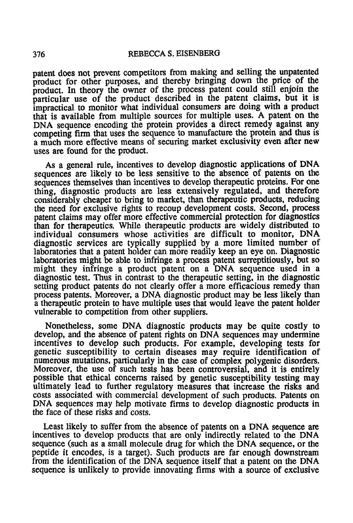patent does not prevent competitors from making and selling the unpatented product for other purposes. and thereby bringing down the price of the product. In theory the owner of the process patent could still enjoin the particular use of the product described in the patent claims. but it is impractical to monitor what individual consumers are doing with a product that is available from multiple sources for multiple uses. A patent on the DNA sequence encoding the protein provides a direct remedy against any competing firm that uses the sequence to manufacture the protein and thus is a much more effective means of securing market exclusivity even after new uses are found for the product.

As a general rule, incentives to develop diagnostic applications of DNA sequences are likely to be less sensitive to the absence of patents on the sequences themselves than incentives to develop therapeutic proteins. For one thing, diagnostic products are less extensively regulated, and therefore considerably cheaper to bring to market, than therapeutic products, reducing the need for exclusive rights to recoup development costs. Second, process patent claims may offer more effective commercial protection for diagnostics than for therapeutics. While therapeutic products are widely distributed to individual consumers whose activities are difficult to monitor, DNA diagnostic services are typically supplied by a more limited number of laboratories that a patent holder can more readily keep an eye on. Diagnostic laboratories might be able to infringe a process patent surreptitiously, but so might they infringe a product patent on a DNA sequence used in a diagnostic test. Thus in contrast to the therapeutic setting, in the diagnostic setting product patents do not clearly offer a more efficacious remedy than process patents. Moreover, a DNA diagnostic product may be less likely than a therapeutic protein to have multiple uses that would leave the patent holder vulnerable to competition from other suppliers.

Nonetheless, some DNA diagnostic products may be quite costly to develop, and the absence of patent rights on DNA sequences may undermine incentives to develop such products. For example, developing tests for genetic susceptibility to certain diseases may require identification of numerous mutations, particularly in the case of complex polygenic disorders. Moreover, the use of such tests has been controversial, and it is entirely possible that ethical concerns raised by genetic susceptibility testing may ultimately lead to further regulatory measures that increase the risks and costs associated with commercial development of such products. Patents on DNA sequences may help motivate firms to develop diagnostic products in the face of these risks and costs.

Least likely to suffer from the absence of patents on a DNA sequence are incentives to develop products that are only indirectly related to the DNA sequence (such as a small molecule drug for which the DNA sequence, or the peptide it encodes, is a target). Such products are far enough downstream from the identification of the DNA sequence itself that a patent on the DNA sequence is unlikely to provide innovating firms with a source of exclusive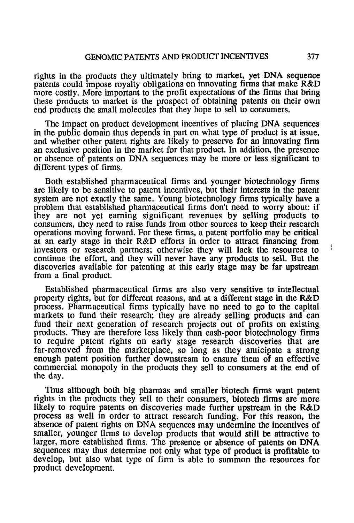rights in the products they ultimately bring to market, yet DNA sequence patents could impose royalty obligations on innovating firms that make R&D more costly. More important to the profit expectations of the firms that bring these products to market is the prospect of obtaining patents on their own end products the small molecules that they hope to sell to consumers.

The impact on product development incentives of placing DNA sequences in the public domain thus depends in part on what type of product is at issue, and whether other patent rights are likely to preserve for an innovating firm an exclusive position in the market for that product. In addition, the presence or absence of patents on DNA sequences may be more or less significant to different types of firms.

Both established pharmaceutical firms and younger biotechnology firms are likely to be sensitive to patent incentives, but their interests in the patent system are not exactly the same. Young biotechnology firms typically have a problem that established pharmaceutical firms don't need to worry about: if they are not yet earning significant revenues by selling products to consumers, they need to raise funds from other sources to keep their research operations moving forward. For these firms, a patent portfolio may be critical at an early stage in their R&D efforts in order to attract financing from investors or research partners; otherwise they will lack the resources to continue the effort, and they will never have any products to sell. But the discoveries available for patenting at this early stage may be far upstream from a final product.

Established pharmaceutical firms are also very sensitive to intellectual property rights, but for different reasons, and at a different stage in the R&D process. Pharmaceutical firms typically have no need to go to the capital markets to fund their research; they are already selling products and can fund their next generation of research projects out of profits on existing products. They are therefore less likely than cash-poor biotechnology firms to require patent rights on early stage research discoveries that are far-removed from the marketplace, so long as they anticipate a strong enough patent position further downstream to ensure them of an effective commercial monopoly in the products they sell to consumers at the end of the day.

Thus although both big pharmas and smaller biotech firms want patent rights in the products they sell to their consumers, biotech firms are more likely to require patents on discoveries made further upstream in the R&D process as well in order to attract research funding. For this reason, the absence of patent rights on DNA sequences may undermine the incentives of smaller, younger firms to develop products that would still be attractive to larger, more established firms. The presence or absence of patents on DNA sequences may thus determine not only what type of product is profitable to develop, but also what type of firm is able to summon the resources for product development.